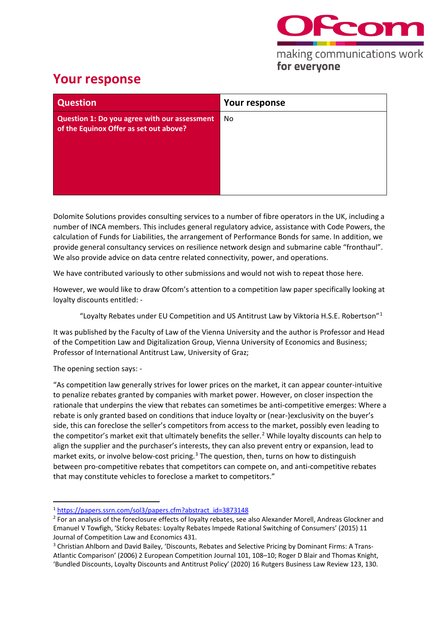

## for everyone

## **Your response**

| <b>Question</b>                                                                        | Your response |
|----------------------------------------------------------------------------------------|---------------|
| Question 1: Do you agree with our assessment<br>of the Equinox Offer as set out above? | No.           |
|                                                                                        |               |

Dolomite Solutions provides consulting services to a number of fibre operators in the UK, including a number of INCA members. This includes general regulatory advice, assistance with Code Powers, the calculation of Funds for Liabilities, the arrangement of Performance Bonds for same. In addition, we provide general consultancy services on resilience network design and submarine cable "fronthaul". We also provide advice on data centre related connectivity, power, and operations.

We have contributed variously to other submissions and would not wish to repeat those here.

However, we would like to draw Ofcom's attention to a competition law paper specifically looking at loyalty discounts entitled: -

"Loyalty Rebates under EU Competition and US Antitrust Law by Viktoria H.S.E. Robertson" $1$ 

It was published by the Faculty of Law of the Vienna University and the author is Professor and Head of the Competition Law and Digitalization Group, Vienna University of Economics and Business; Professor of International Antitrust Law, University of Graz;

The opening section says: -

"As competition law generally strives for lower prices on the market, it can appear counter-intuitive to penalize rebates granted by companies with market power. However, on closer inspection the rationale that underpins the view that rebates can sometimes be anti-competitive emerges: Where a rebate is only granted based on conditions that induce loyalty or (near-)exclusivity on the buyer's side, this can foreclose the seller's competitors from access to the market, possibly even leading to the competitor's market exit that ultimately benefits the seller.<sup>[2](#page-0-1)</sup> While loyalty discounts can help to align the supplier and the purchaser's interests, they can also prevent entry or expansion, lead to market exits, or involve below-cost pricing.<sup>[3](#page-0-2)</sup> The question, then, turns on how to distinguish between pro-competitive rebates that competitors can compete on, and anti-competitive rebates that may constitute vehicles to foreclose a market to competitors."

<span id="page-0-0"></span><sup>1</sup> [https://papers.ssrn.com/sol3/papers.cfm?abstract\\_id=3873148](https://papers.ssrn.com/sol3/papers.cfm?abstract_id=3873148)

<span id="page-0-1"></span><sup>&</sup>lt;sup>2</sup> For an analysis of the foreclosure effects of loyalty rebates, see also Alexander Morell, Andreas Glockner and Emanuel V Towfigh, 'Sticky Rebates: Loyalty Rebates Impede Rational Switching of Consumers' (2015) 11 Journal of Competition Law and Economics 431.

<span id="page-0-2"></span><sup>3</sup> Christian Ahlborn and David Bailey, 'Discounts, Rebates and Selective Pricing by Dominant Firms: A Trans-Atlantic Comparison' (2006) 2 European Competition Journal 101, 108–10; Roger D Blair and Thomas Knight, 'Bundled Discounts, Loyalty Discounts and Antitrust Policy' (2020) 16 Rutgers Business Law Review 123, 130.